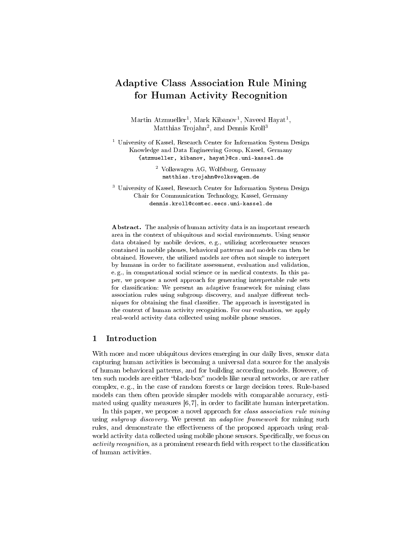# Adaptive Class Association Rule Mining for Human Activity Recognition

Martin Atzmueller<sup>1</sup>, Mark Kibanov<sup>1</sup>, Naveed Hayat<sup>1</sup>, Matthias Trojahn<sup>2</sup>, and Dennis Kroll<sup>3</sup>

<sup>1</sup> University of Kassel, Research Center for Information System Design Knowledge and Data Engineering Group, Kassel, Germany {atzmueller, kibanov, hayat}@cs.uni-kassel.de

> <sup>2</sup> Volkswagen AG, Wolfsburg, Germany matthias.trojahn@volkswagen.de

<sup>3</sup> University of Kassel, Research Center for Information System Design Chair for Communication Technology, Kassel, Germany dennis.kroll@comtec.eecs.uni-kassel.de

Abstract. The analysis of human activity data is an important research area in the context of ubiquitous and social environments. Using sensor data obtained by mobile devices, e. g., utilizing accelerometer sensors contained in mobile phones, behavioral patterns and models can then be obtained. However, the utilized models are often not simple to interpret by humans in order to facilitate assessment, evaluation and validation, e. g., in computational social science or in medical contexts. In this paper, we propose a novel approach for generating interpretable rule sets for classification: We present an adaptive framework for mining class association rules using subgroup discovery, and analyze different techniques for obtaining the final classifier. The approach is investigated in the context of human activity recognition. For our evaluation, we apply real-world activity data collected using mobile phone sensors.

### 1 Introduction

With more and more ubiquitous devices emerging in our daily lives, sensor data capturing human activities is becoming a universal data source for the analysis of human behavioral patterns, and for building according models. However, often such models are either "black-box" models like neural networks, or are rather complex, e. g., in the case of random forests or large decision trees. Rule-based models can then often provide simpler models with comparable accuracy, estimated using quality measures [6, 7], in order to facilitate human interpretation.

In this paper, we propose a novel approach for *class association rule mining* using *subgroup discovery*. We present an *adaptive framework* for mining such rules, and demonstrate the effectiveness of the proposed approach using realworld activity data collected using mobile phone sensors. Specifically, we focus on activity recognition, as a prominent research field with respect to the classification of human activities.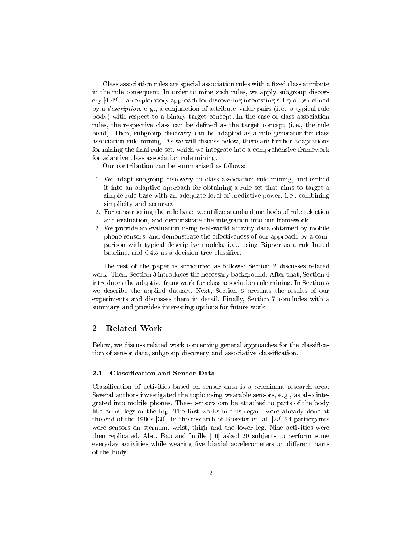Class association rules are special association rules with a fixed class attribute in the rule consequent. In order to mine such rules, we apply subgroup discovery  $[4,42]$  – an exploratory approach for discovering interesting subgroups defined by a *description*, e.g., a conjunction of attribute-value pairs (i.e., a typical rule body) with respect to a binary target concept. In the case of class association rules, the respective class can be defined as the target concept (i.e., the rule head). Then, subgroup discovery can be adapted as a rule generator for class association rule mining. As we will discuss below, there are further adaptations for mining the final rule set, which we integrate into a comprehensive framework for adaptive class association rule mining.

Our contribution can be summarized as follows:

- 1. We adapt subgroup discovery to class association rule mining, and embed it into an adaptive approach for obtaining a rule set that aims to target a simple rule base with an adequate level of predictive power, i. e., combining simplicity and accuracy.
- 2. For constructing the rule base, we utilize standard methods of rule selection and evaluation, and demonstrate the integration into our framework.
- 3. We provide an evaluation using real-world activity data obtained by mobile phone sensors, and demonstrate the effectiveness of our approach by a comparison with typical descriptive models, i. e., using Ripper as a rule-based baseline, and C4.5 as a decision tree classifier.

The rest of the paper is structured as follows: Section 2 discusses related work. Then, Section 3 introduces the necessary background. After that, Section 4 introduces the adaptive framework for class association rule mining. In Section 5 we describe the applied dataset. Next, Section 6 presents the results of our experiments and discusses them in detail. Finally, Section 7 concludes with a summary and provides interesting options for future work.

# 2 Related Work

Below, we discuss related work concerning general approaches for the classification of sensor data, subgroup discovery and associative classification.

### 2.1 Classification and Sensor Data

Classification of activities based on sensor data is a prominent research area. Several authors investigated the topic using wearable sensors, e. g., as also integrated into mobile phones. These sensors can be attached to parts of the body like arms, legs or the hip. The first works in this regard were already done at the end of the 1990s [30]. In the research of Foerster et. al. [23] 24 participants wore sensors on sternum, wrist, thigh and the lower leg. Nine activities were then replicated. Also, Bao and Intille [16] asked 20 subjects to perform some everyday activities while wearing five biaxial accelerometers on different parts of the body.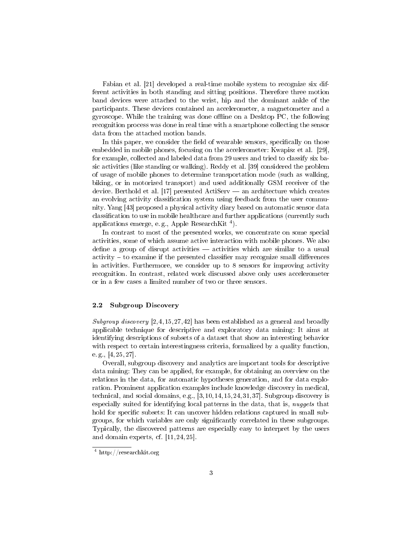Fabian et al. [21] developed a real-time mobile system to recognize six different activities in both standing and sitting positions. Therefore three motion band devices were attached to the wrist, hip and the dominant ankle of the participants. These devices contained an accelerometer, a magnetometer and a gyroscope. While the training was done offline on a Desktop  $PC$ , the following recognition process was done in real time with a smartphone collecting the sensor data from the attached motion bands.

In this paper, we consider the field of wearable sensors, specifically on those embedded in mobile phones, focusing on the accelerometer: Kwapisz et al. [29], for example, collected and labeled data from 29 users and tried to classify six basic activities (like standing or walking). Reddy et al. [39] considered the problem of usage of mobile phones to determine transportation mode (such as walking, biking, or in motorized transport) and used additionally GSM receiver of the device. Berthold et al.  $[17]$  presented ActiServ — an architecture which creates an evolving activity classification system using feedback from the user community. Yang [43] proposed a physical activity diary based on automatic sensor data classification to use in mobile healthcare and further applications (currently such applications emerge, e.g., Apple ResearchKit<sup>4</sup>).

In contrast to most of the presented works, we concentrate on some special activities, some of which assume active interaction with mobile phones. We also define a group of disrupt activities  $-$  activities which are similar to a usual  $\alpha$  activity  $\alpha$  to examine if the presented classifier may recognize small differences in activities. Furthermore, we consider up to 8 sensors for improving activity recognition. In contrast, related work discussed above only uses accelerometer or in a few cases a limited number of two or three sensors.

### 2.2 Subgroup Discovery

Subgroup discovery  $[2,4,15,27,42]$  has been established as a general and broadly applicable technique for descriptive and exploratory data mining: It aims at identifying descriptions of subsets of a dataset that show an interesting behavior with respect to certain interestingness criteria, formalized by a quality function, e. g.,  $[4, 25, 27]$ .

Overall, subgroup discovery and analytics are important tools for descriptive data mining: They can be applied, for example, for obtaining an overview on the relations in the data, for automatic hypotheses generation, and for data exploration. Prominent application examples include knowledge discovery in medical, technical, and social domains, e.g., [3, 10, 14, 15, 24, 31, 37]. Subgroup discovery is especially suited for identifying local patterns in the data, that is, nuggets that hold for specific subsets: It can uncover hidden relations captured in small subgroups, for which variables are only signicantly correlated in these subgroups. Typically, the discovered patterns are especially easy to interpret by the users and domain experts, cf. [11, 24, 25].

<sup>4</sup> http://researchkit.org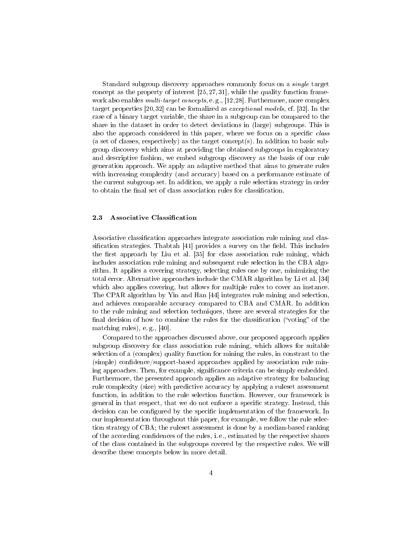Standard subgroup discovery approaches commonly focus on a single target concept as the property of interest  $[25, 27, 31]$ , while the quality function framework also enables *multi-target concepts*, e.g., [12,28]. Furthermore, more complex target properties [20, 32] can be formalized as exceptional models, cf. [32]. In the case of a binary target variable, the share in a subgroup can be compared to the share in the dataset in order to detect deviations in (large) subgroups. This is also the approach considered in this paper, where we focus on a specific class (a set of classes, respectively) as the target concept(s). In addition to basic subgroup discovery which aims at providing the obtained subgroups in exploratory and descriptive fashion, we embed subgroup discovery as the basis of our rule generation approach. We apply an adaptive method that aims to generate rules with increasing complexity (and accuracy) based on a performance estimate of the current subgroup set. In addition, we apply a rule selection strategy in order to obtain the final set of class association rules for classification.

### 2.3 Associative Classification

Associative classification approaches integrate association rule mining and classification strategies. Thabtah  $[41]$  provides a survey on the field. This includes the first approach by Liu et al.  $[35]$  for class association rule mining, which includes association rule mining and subsequent rule selection in the CBA algorithm. It applies a covering strategy, selecting rules one by one, minimizing the total error. Alternative approaches include the CMAR algorithm by Li et al. [34] which also applies covering, but allows for multiple rules to cover an instance. The CPAR algorithm by Yin and Han [44] integrates rule mining and selection, and achieves comparable accuracy compared to CBA and CMAR. In addition to the rule mining and selection techniques, there are several strategies for the final decision of how to combine the rules for the classification ("voting" of the matching rules), e. g., [40].

Compared to the approaches discussed above, our proposed approach applies subgroup discovery for class association rule mining, which allows for suitable selection of a (complex) quality function for mining the rules, in constrast to the (simple) confidence/support-based approaches applied by association rule mining approaches. Then, for example, significance criteria can be simply embedded. Furthermore, the presented approach applies an adaptive strategy for balancing rule complexity (size) with predictive accuracy by applying a ruleset assessment function, in addition to the rule selection function. However, our framework is general in that respect, that we do not enforce a specific strategy. Instead, this decision can be configured by the specific implementation of the framework. In our implementation throughout this paper, for example, we follow the rule selection strategy of CBA; the ruleset assessment is done by a median-based ranking of the according condences of the rules, i. e., estimated by the respective shares of the class contained in the subgroups covered by the respective rules. We will describe these concepts below in more detail.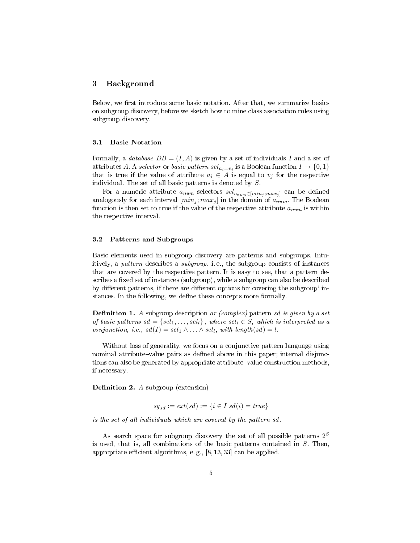### 3 Background

Below, we first introduce some basic notation. After that, we summarize basics on subgroup discovery, before we sketch how to mine class association rules using subgroup discovery.

### 3.1 Basic Notation

Formally, a *database*  $DB = (I, A)$  is given by a set of individuals I and a set of attributes A. A *selector* or *basic pattern sel<sub>ai=vj</sub>* is a Boolean function  $I \rightarrow \{0,1\}$ that is true if the value of attribute  $a_i \in A$  is equal to  $v_j$  for the respective individual. The set of all basic patterns is denoted by S.

For a numeric attribute  $a_{num}$  selectors  $sel_{a_{num} \in [min_j; max_j]}$  can be defined analogously for each interval  $(min_j; max_j]$  in the domain of  $a_{num}$ . The Boolean function is then set to true if the value of the respective attribute  $a_{num}$  is within the respective interval.

### 3.2 Patterns and Subgroups

Basic elements used in subgroup discovery are patterns and subgroups. Intuitively, a pattern describes a subgroup, i. e., the subgroup consists of instances that are covered by the respective pattern. It is easy to see, that a pattern describes a fixed set of instances (subgroup), while a subgroup can also be described by different patterns, if there are different options for covering the subgroup' instances. In the following, we define these concepts more formally.

**Definition 1.** A subgroup description or (complex) pattern sd is given by a set of basic patterns  $sd = \{sel_1, \ldots, sel_l\}$ , where  $sel_i \in S$ , which is interpreted as a conjunction, i.e.,  $sd(I) = sel_1 \wedge \ldots \wedge sel_l$ , with length(sd) = l.

Without loss of generality, we focus on a conjunctive pattern language using nominal attribute–value pairs as defined above in this paper; internal disjunctions can also be generated by appropriate attribute-value construction methods, if necessary.

**Definition 2.** A subgroup (extension)

$$
sg_{sd}:=ext(sd):=\{i\in I|sd(i)=true\}
$$

is the set of all individuals which are covered by the pattern sd.

As search space for subgroup discovery the set of all possible patterns  $2^S$ is used, that is, all combinations of the basic patterns contained in  $S$ . Then, appropriate efficient algorithms, e.g.,  $[8, 13, 33]$  can be applied.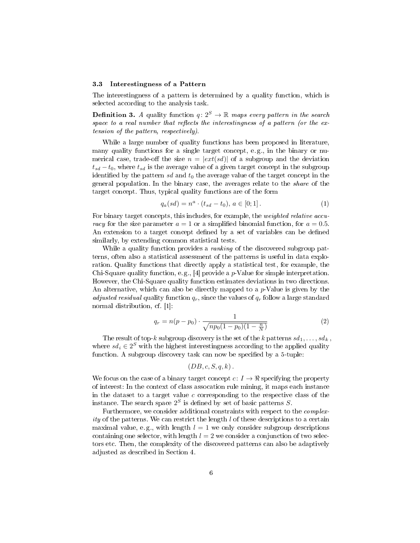#### 3.3 Interestingness of a Pattern

The interestingness of a pattern is determined by a quality function, which is selected according to the analysis task.

**Definition 3.** A quality function  $q: 2^S \rightarrow \mathbb{R}$  maps every pattern in the search space to a real number that reflects the interestingness of a pattern (or the extension of the pattern, respectively).

While a large number of quality functions has been proposed in literature, many quality functions for a single target concept, e. g., in the binary or numerical case, trade-off the size  $n = |ext(sd)|$  of a subgroup and the deviation  $t_{sd} - t_0$ , where  $t_{sd}$  is the average value of a given target concept in the subgroup identified by the pattern sd and  $t_0$  the average value of the target concept in the general population. In the binary case, the averages relate to the share of the target concept. Thus, typical quality functions are of the form

$$
q_a(sd) = n^a \cdot (t_{sd} - t_0), \ a \in [0; 1]. \tag{1}
$$

For binary target concepts, this includes, for example, the weighted relative accuracy for the size parameter  $a = 1$  or a simplified binomial function, for  $a = 0.5$ . An extension to a target concept defined by a set of variables can be defined similarly, by extending common statistical tests.

While a quality function provides a *ranking* of the discovered subgroup patterns, often also a statistical assessment of the patterns is useful in data exploration. Quality functions that directly apply a statistical test, for example, the Chi-Square quality function, e.g., [4] provide a  $p$ -Value for simple interpretation. However, the Chi-Square quality function estimates deviations in two directions. An alternative, which can also be directly mapped to a  $p$ -Value is given by the adjusted residual quality function  $q_r$ , since the values of  $q_r$  follow a large standard normal distribution, cf. [1]:

$$
q_r = n(p - p_0) \cdot \frac{1}{\sqrt{np_0(1 - p_0)(1 - \frac{n}{N})}}
$$
(2)

The result of top-k subgroup discovery is the set of the k patterns  $sd_1, \ldots, sd_k$ , where  $sd_i \in 2^S$  with the highest interestingness according to the applied quality function. A subgroup discovery task can now be specified by a 5-tuple:

$$
(DB, c, S, q, k).
$$

We focus on the case of a binary target concept  $c: I \to \mathbb{R}$  specifying the property of interest: In the context of class assocation rule mining, it maps each instance in the dataset to a target value c corresponding to the respective class of the instance. The search space  $2^S$  is defined by set of basic patterns S.

Furthermore, we consider additional constraints with respect to the complexity of the patterns. We can restrict the length  $l$  of these descriptions to a certain maximal value, e.g., with length  $l = 1$  we only consider subgroup descriptions containing one selector, with length  $l = 2$  we consider a conjunction of two selectors etc. Then, the complexity of the discovered patterns can also be adaptively adjusted as described in Section 4.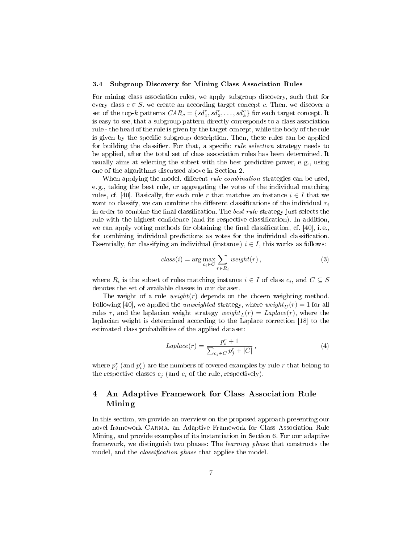#### 3.4 Subgroup Discovery for Mining Class Association Rules

For mining class association rules, we apply subgroup discovery, such that for every class  $c \in S$ , we create an according target concept c. Then, we discover a set of the top-k patterns  $CAR_c = \{sd_1^c, sd_2^c, \ldots, sd_k^c\}$  for each target concept. It is easy to see, that a subgroup pattern directly corresponds to a class association rule - the head of the rule is given by the target concept, while the body of the rule is given by the specific subgroup description. Then, these rules can be applied for building the classifier. For that, a specific *rule selection* strategy needs to be applied, after the total set of class association rules has been determined. It usually aims at selecting the subset with the best predictive power, e. g., using one of the algorithms discussed above in Section 2.

When applying the model, different *rule combination* strategies can be used. e. g., taking the best rule, or aggregating the votes of the individual matching rules, cf. [40]. Basically, for each rule r that matches an instance  $i \in I$  that we want to classify, we can combine the different classifications of the individual  $r_i$ in order to combine the final classification. The *best rule* strategy just selects the rule with the highest confidence (and its respective classification). In addition, we can apply voting methods for obtaining the final classification, cf.  $[40]$ , i.e., for combining individual predictions as votes for the individual classification. Essentially, for classifying an individual (instance)  $i \in I$ , this works as follows:

$$
class(i) = \arg\max_{c_i \in C} \sum_{r \in R_i} weight(r), \qquad (3)
$$

where  $R_i$  is the subset of rules matching instance  $i \in I$  of class  $c_i$ , and  $C \subseteq S$ denotes the set of available classes in our dataset.

The weight of a rule  $weight(r)$  depends on the chosen weighting method. Following [40], we applied the *unweighted* strategy, where  $weight_U(r) = 1$  for all rules r, and the laplacian weight strategy  $weight_L(r) = Laplace(r)$ , where the laplacian weight is determined according to the Laplace correction [18] to the estimated class probabilities of the applied dataset:

$$
Laplace(r) = \frac{p_i^r + 1}{\sum_{c_j \in C} p_j^r + |C|},\tag{4}
$$

where  $p_j^r$  (and  $p_i^r$ ) are the numbers of covered examples by rule  $r$  that belong to the respective classes  $c_i$  (and  $c_i$  of the rule, respectively).

# 4 An Adaptive Framework for Class Association Rule Mining

In this section, we provide an overview on the proposed approach presenting our novel framework Carma, an Adaptive Framework for Class Association Rule Mining, and provide examples of its instantiation in Section 6. For our adaptive framework, we distinguish two phases: The *learning phase* that constructs the model, and the *classification phase* that applies the model.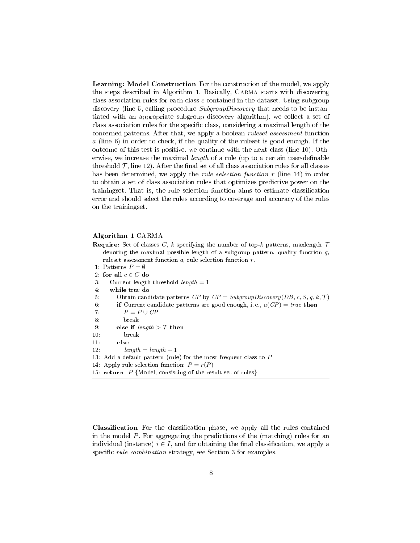Learning: Model Construction For the construction of the model, we apply the steps described in Algorithm 1. Basically, Carma starts with discovering class association rules for each class c contained in the dataset. Using subgroup discovery (line 5, calling procedure SubgroupDiscovery that needs to be instantiated with an appropriate subgroup discovery algorithm), we collect a set of class association rules for the specific class, considering a maximal length of the concerned patterns. After that, we apply a boolean ruleset assessment function  $a$  (line 6) in order to check, if the quality of the ruleset is good enough. If the outcome of this test is positive, we continue with the next class (line 10). Otherwise, we increase the maximal *length* of a rule (up to a certain user-definable threshold  $\mathcal{T}$ , line 12). After the final set of all class association rules for all classes has been determined, we apply the *rule selection function*  $r$  (line 14) in order to obtain a set of class association rules that optimizes predictive power on the trainingset. That is, the rule selection function aims to estimate classification error and should select the rules according to coverage and accuracy of the rules on the trainingset.

# Algorithm 1 CARMA

| <b>Require:</b> Set of classes C, k specifying the number of top-k patterns, maxlength $\mathcal{T}$ |
|------------------------------------------------------------------------------------------------------|
| denoting the maximal possible length of a subgroup pattern, quality function $q$ ,                   |
| rules assessment function $a$ , rule selection function $r$ .                                        |
| 1. Patterns $P = \emptyset$                                                                          |
| 2. for all $c \in C$ do                                                                              |
| Current length threshold length $= 1$                                                                |
| while true do                                                                                        |
| Obtain candidate patterns CP by $CP = SubgroupDiscovery(DB, c, S, q, k, T)$                          |
| if Current candidate patterns are good enough, i.e., $a(CP) = true$ then                             |
| $P = P \cup CP$                                                                                      |
| break                                                                                                |
| else if $length > T$ then                                                                            |
| break                                                                                                |
| else                                                                                                 |
| $length = length + 1$                                                                                |
| 13. Add a default pattern (rule) for the most frequent class to $P$                                  |
| 14: Apply rule selection function: $P = r(P)$                                                        |
| 15: return $P$ {Model, consisting of the result set of rules}                                        |
|                                                                                                      |

Classification For the classification phase, we apply all the rules contained in the model P. For aggregating the predictions of the (matching) rules for an individual (instance)  $i \in I$ , and for obtaining the final classification, we apply a specific *rule combination* strategy, see Section 3 for examples.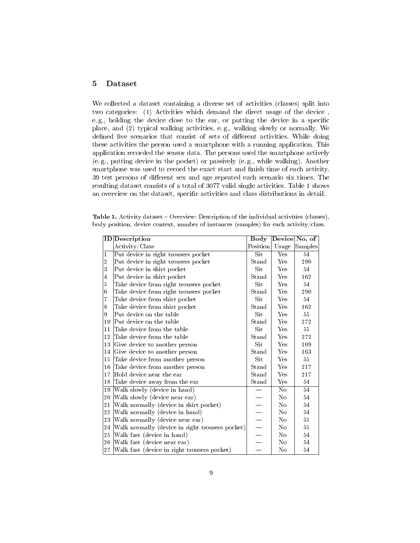# 5 Dataset

We collected a dataset containing a diverse set of activities (classes) split into two categories: (1) Activities which demand the direct usage of the device , e.g., holding the device close to the ear, or putting the device in a specific place, and (2) typical walking activities, e. g., walking slowly or normally. We defined five scenarios that consist of sets of different activities. While doing these activities the person used a smartphone with a running application. This application recorded the sensor data. The persons used the smartphone actively (e. g., putting device in the pocket) or passively (e. g., while walking). Another smartphone was used to record the exact start and finish time of each activity. 39 test persons of different sex and age repeated each scenario six times. The resulting dataset consists of a total of 3077 valid single activities. Table 1 shows an overview on the dataset, specific activities and class distributions in detail.

|  | <b>Table 1.</b> Activity dataset – Overview: Description of the individual activities (classes), |  |  |  |
|--|--------------------------------------------------------------------------------------------------|--|--|--|
|  | body position, device context, number of instances (samples) for each activity/class.            |  |  |  |

|                | ID Description                                  | Body                     |                | Device No. of |
|----------------|-------------------------------------------------|--------------------------|----------------|---------------|
|                | Activity/Class                                  | Position                 | Usage          | Samples       |
| 1              | Put device in right trousers pocket             | Sit                      | Yes            | 54            |
| $\overline{2}$ | Put device in right trousers pocket             | $\operatorname{Stand}$   | Yes            | 290           |
| 3              | Put device in shirt pocket                      | Sit                      | Yes            | 54            |
| $\overline{4}$ | Put device in shirt pocket                      | Stand                    | Yes            | 162           |
| $\mathbf 5$    | Take device from right trousers pocket          | Sit                      | Yes            | 54            |
| 6              | Take device from right trousers pocket          | Stand                    | Yes            | 290           |
| $\overline{7}$ | Take device from shirt pocket                   | Sit                      | Yes            | 54            |
| 8              | Take device from shirt pocket                   | Stand                    | Yes            | 162           |
| 9              | Put device on the table                         | Sit                      | Yes            | 55            |
| 10             | Put device on the table                         | Stand                    | Yes            | 272           |
| 11             | Take device from the table                      | Sit                      | Yes            | 55            |
| 12             | Take device from the table                      | Stand                    | Yes            | 272           |
| 13             | Give device to another person                   | Sit                      | Yes            | 109           |
| 14             | Give device to another person                   | Stand                    | Yes            | 163           |
| 15             | Take device from another person                 | Sit                      | Yes            | 55            |
| 16             | Take device from another person                 | Stand                    | Yes            | 217           |
| 17             | Hold device near the ear                        | Stand                    | Yes            | 217           |
| 18             | Take device away from the ear                   | Stand                    | Yes            | 54            |
| 19             | Walk slowly (device in hand)                    |                          | N <sub>o</sub> | 54            |
| 20             | Walk slowly (device near ear)                   |                          | No             | 54            |
| 21             | Walk normally (device in shirt pocket)          |                          | No             | 54            |
| 22             | Walk normally (device in hand)                  |                          | No             | 54            |
| 23             | Walk normally (device near ear)                 |                          | No             | 55            |
| 24             | Walk normally (device in right trousers pocket) | $\overline{\phantom{0}}$ | No             | $55\,$        |
| 25             | Walk fast (device in hand)                      |                          | N <sub>o</sub> | 54            |
| 26             | Walk fast (device near ear)                     |                          | No             | 54            |
| 27             | Walk fast (device in right trousers pocket)     |                          | No             | 54            |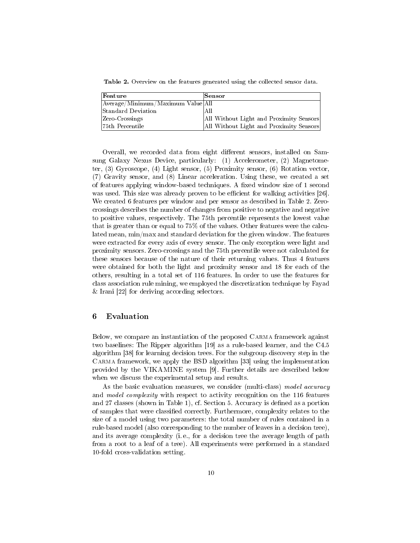Table 2. Overview on the features generated using the collected sensor data.

| Feature                           | Sensor                                  |
|-----------------------------------|-----------------------------------------|
| Average/Minimum/Maximum Value All |                                         |
| Standard Deviation                | All                                     |
| Zero-Crossings                    | All Without Light and Proximity Sensors |
| 75th Percentile                   | All Without Light and Proximity Sensors |

Overall, we recorded data from eight different sensors, installed on Samsung Galaxy Nexus Device, particularly: (1) Accelerometer, (2) Magnetometer, (3) Gyroscope, (4) Light sensor, (5) Proximity sensor, (6) Rotation vector, (7) Gravity sensor, and (8) Linear acceleration. Using these, we created a set of features applying window-based techniques. A fixed window size of 1 second was used. This size was already proven to be efficient for walking activities [26]. We created 6 features per window and per sensor as described in Table 2. Zerocrossings describes the number of changes from positive to negative and negative to positive values, respectively. The 75th percentile represents the lowest value that is greater than or equal to 75% of the values. Other features were the calculated mean, min/max and standard deviation for the given window. The features were extracted for every axis of every sensor. The only exception were light and proximity sensors. Zero-crossings and the 75th percentile were not calculated for these sensors because of the nature of their returning values. Thus 4 features were obtained for both the light and proximity sensor and 18 for each of the others, resulting in a total set of 116 features. In order to use the features for class association rule mining, we employed the discretization technique by Fayad & Irani [22] for deriving according selectors.

# 6 Evaluation

Below, we compare an instantiation of the proposed Carma framework against two baselines: The Ripper algorithm [19] as a rule-based learner, and the C4.5 algorithm [38] for learning decision trees. For the subgroup discovery step in the Carma framework, we apply the BSD algorithm [33] using the implementation provided by the VIKAMINE system [9]. Further details are described below when we discuss the experimental setup and results.

As the basic evaluation measures, we consider (multi-class) model accuracy and *model complexity* with respect to activity recognition on the 116 features and 27 classes (shown in Table 1), cf. Section 5. Accuracy is defined as a portion of samples that were classified correctly. Furthermore, complexity relates to the size of a model using two parameters: the total number of rules contained in a rule-based model (also corresponding to the number of leaves in a decision tree), and its average complexity (i. e., for a decision tree the average length of path from a root to a leaf of a tree). All experiments were performed in a standard 10-fold cross-validation setting.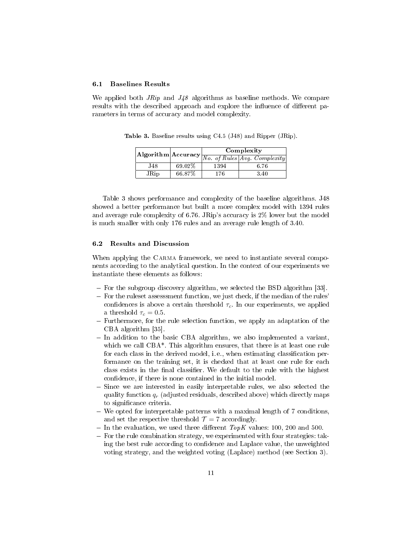#### 6.1 Baselines Results

We applied both  $Jrip$  and  $J48$  algorithms as baseline methods. We compare results with the described approach and explore the influence of different parameters in terms of accuracy and model complexity.

 $\textbf{Algorithm} \textbf{Accuracy} \textcolor{red}{\fbox{N0. of Rules} \fbox{Avg. Complexity}}$  $\overline{No. of Rules}$ [Avg.] J48 69.02% 1394 6.76 JRip 66.87% 176 3.40

Table 3. Baseline results using C4.5 (J48) and Ripper (JRip).

Table 3 shows performance and complexity of the baseline algorithms. J48 showed a better performance but built a more complex model with 1394 rules and average rule complexity of 6.76. JRip's accuracy is 2% lower but the model is much smaller with only 176 rules and an average rule length of 3.40.

### 6.2 Results and Discussion

When applying the CARMA framework, we need to instantiate several components according to the analytical question. In the context of our experiments we instantiate these elements as follows:

- $-$  For the subgroup discovery algorithm, we selected the BSD algorithm [33].
- $-$  For the ruleset assessment function, we just check, if the median of the rules' confidences is above a certain threshold  $\tau_c$ . In our experiments, we applied a threshold  $\tau_c = 0.5$ .
- Furthermore, for the rule selection function, we apply an adaptation of the CBA algorithm [35].
- In addition to the basic CBA algorithm, we also implemented a variant, which we call CBA<sup>\*</sup>. This algorithm ensures, that there is at least one rule for each class in the derived model, i.e., when estimating classification performance on the training set, it is checked that at least one rule for each class exists in the final classifier. We default to the rule with the highest confidence, if there is none contained in the initial model.
- Since we are interested in easily interpretable rules, we also selected the quality function  $q_r$  (adjusted residuals, described above) which directly maps to significance criteria.
- We opted for interpretable patterns with a maximal length of 7 conditions, and set the respective threshold  $\mathcal{T} = 7$  accordingly.
- In the evaluation, we used three different  $TopK$  values: 100, 200 and 500.
- $F$  For the rule combination strategy, we experimented with four strategies: taking the best rule according to confidence and Laplace value, the unweighted voting strategy, and the weighted voting (Laplace) method (see Section 3).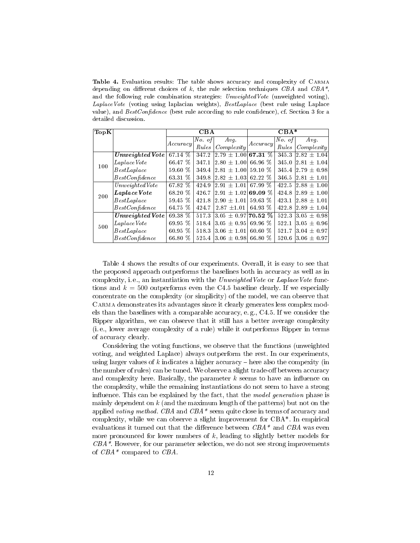Table 4. Evaluation results: The table shows accuracy and complexity of Carma depending on different choices of k, the rule selection techniques CBA and  $CBA^*$ , and the following rule combination strategies:  $UnweightedVote$  (unweighted voting), Laplace Vote (voting using laplacian weights), BestLaplace (best rule using Laplace value), and  $BestConfidence$  (best rule according to rule confidence), cf. Section 3 for a detailed discussion.

| $ {\rm Top K} $ |                     |                       | CBA    |                                                               | $CBA*$    |        |                  |  |
|-----------------|---------------------|-----------------------|--------|---------------------------------------------------------------|-----------|--------|------------------|--|
|                 |                     | Accuracy              | No. of | Avg.                                                          | Accuracy  | No. of | $Avq$ .          |  |
|                 |                     |                       | Rules  | Complexity                                                    |           | Rules  | Complexity       |  |
| 100             | $Unweighted$ $Vote$ | 67.14 %               | 347.2  | $ 2.79 \pm 1.00 $                                             | 67.31 %   | 345.3  | $ 2.82 \pm 1.04$ |  |
|                 | Laplace Vote        | 66.47 %               | 347.1  | $\left. \right. \right. 2.80 \, \pm \, 1.00$ $\left. \right.$ | 66.96 %   | 345.0  | $ 2.81 \pm 1.04$ |  |
|                 | BestLaplace         | 59.60 %               | 349.4  | $ 2.81 \pm 1.00 $                                             | 59.10 \%  | 345.4  | $2.79 \pm 0.98$  |  |
|                 | BestConfidence      | 63.31 %               | 349.8  | $ 2.82\,\pm\,1.03 $                                           | 62.22 %   | 346.5  | $2.81 \pm 1.01$  |  |
| 200             | Unweighted Vote     | 67.82 %               | 424.9  | $ 2.91\,\pm\,1.01 $                                           | 67.99 %   | 422.5  | $ 2.88 \pm 1.00$ |  |
|                 | Laplace Vote        | 68.20 %               | 426.7  | $\pm$ 1.02<br> 2.91                                           | 69.09 %   | 424.8  | $ 2.89 + 1.00$   |  |
|                 | BestLaplace         | 59.45 %               | 421.8  | $ 2.90\,\pm\,1.01 $                                           | 59.63 %   | 423.1  | $ 2.88 \pm 1.01$ |  |
|                 | BestConfidence      | 64.75 %               | 424.7  | $2.87 \pm 1.01$                                               | 64.93 %   | 422.8  | $2.89 \pm 1.04$  |  |
| 500             | $Unweighted$ $Vote$ | 69.38 $\overline{\%}$ | 517.3  | $13.05 \pm 0.97$ 70.52 $\%$                                   |           | 522.3  | $3.05 \pm 0.98$  |  |
|                 | Laplace Vote        | 69.95 %               | 518.4  | $ 3.05\pm0.95 $                                               | 69.96 %   | 522.1  | $3.05 \pm 0.96$  |  |
|                 | BestLaplace         | $60.95\%$             | 518.3  | $ 3.06 \pm 1.01 $                                             | $60.60\%$ | 521.7  | $ 3.04\pm0.97 $  |  |
|                 | BestConfidence      | 66.80 %               | 525.4  | $ 3.06 \pm 0.98 $                                             | 66.80 %   | 520.6  | $3.06 \pm 0.97$  |  |

Table 4 shows the results of our experiments. Overall, it is easy to see that the proposed approach outperforms the baselines both in accuracy as well as in complexity, i.e., an instantiation with the UnweightedVote or LaplaceVote functions and  $k = 500$  outperforms even the C4.5 baseline clearly. If we especially concentrate on the complexity (or simplicity) of the model, we can observe that Carma demonstrates its advantages since it clearly generates less complex models than the baselines with a comparable accuracy, e. g., C4.5. If we consider the Ripper algorithm, we can observe that it still has a better average complexity (i. e., lower average complexity of a rule) while it outperforms Ripper in terms of accuracy clearly.

Considering the voting functions, we observe that the functions (unweighted voting, and weighted Laplace) always outperform the rest. In our experiments, using larger values of  $k$  indicates a higher accuracy  $-$  here also the compexity (in the number of rules) can be tuned. We observe a slight trade-off between accuracy and complexity here. Basically, the parameter  $k$  seems to have an influence on the complexity, while the remaining instantiations do not seem to have a strong influence. This can be explained by the fact, that the *model generation* phase is mainly dependent on  $k$  (and the maximum length of the patterns) but not on the applied voting method. CBA and  $CBA*$  seem quite close in terms of accuracy and complexity, while we can observe a slight improvement for CBA\*. In empirical evaluations it turned out that the difference between  $CBA*$  and  $CBA$  was even more pronounced for lower numbers of  $k$ , leading to slightly better models for  $CBA*$ . However, for our parameter selection, we do not see strong improvements of CBA\* compared to CBA.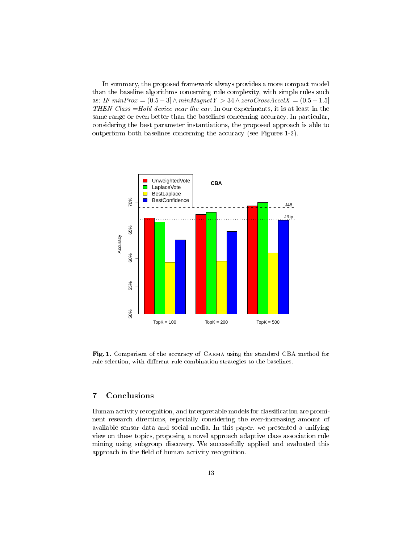In summary, the proposed framework always provides a more compact model than the baseline algorithms concerning rule complexity, with simple rules such as: IF  $minProx = (0.5 - 3] \wedge minMagnetY > 34 \wedge zeroCrossAccelX = (0.5 - 1.5]$ THEN Class =Hold device near the ear. In our experiments, it is at least in the same range or even better than the baselines concerning accuracy. In particular, considering the best parameter instantiations, the proposed approach is able to outperform both baselines concerning the accuracy (see Figures 1-2).



Fig. 1. Comparison of the accuracy of Carma using the standard CBA method for rule selection, with different rule combination strategies to the baselines.

# 7 Conclusions

Human activity recognition, and interpretable models for classification are prominent research directions, especially considering the ever-increasing amount of available sensor data and social media. In this paper, we presented a unifying view on these topics, proposing a novel approach adaptive class association rule mining using subgroup discovery. We successfully applied and evaluated this approach in the field of human activity recognition.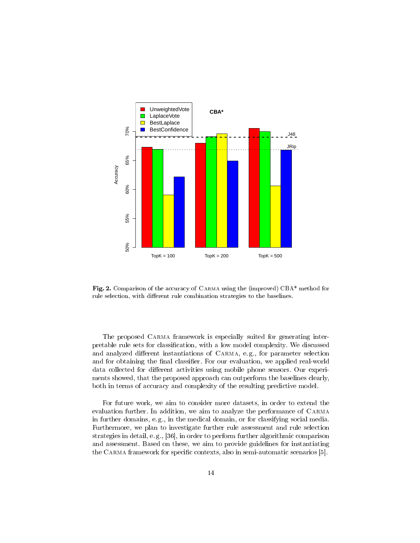

Fig. 2. Comparison of the accuracy of Carma using the (improved) CBA\* method for rule selection, with different rule combination strategies to the baselines.

The proposed CARMA framework is especially suited for generating interpretable rule sets for classification, with a low model complexity. We discussed and analyzed different instantiations of CARMA, e.g., for parameter selection and for obtaining the final classifier. For our evaluation, we applied real-world data collected for different activities using mobile phone sensors. Our experiments showed, that the proposed approach can outperform the baselines clearly, both in terms of accuracy and complexity of the resulting predictive model.

For future work, we aim to consider more datasets, in order to extend the evaluation further. In addition, we aim to analyze the performance of Carma in further domains, e. g., in the medical domain, or for classifying social media. Furthermore, we plan to investigate further rule assessment and rule selection strategies in detail, e. g., [36], in order to perform further algorithmic comparison and assessment. Based on these, we aim to provide guidelines for instantiating the CARMA framework for specific contexts, also in semi-automatic scenarios [5].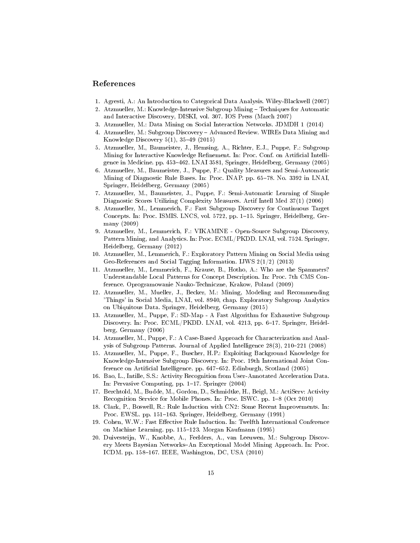# References

- 1. Agresti, A.: An Introduction to Categorical Data Analysis. Wiley-Blackwell (2007)
- 2. Atzmueller, M.: Knowledge-Intensive Subgroup Mining Techniques for Automatic and Interactive Discovery, DISKI, vol. 307. IOS Press (March 2007)
- 3. Atzmueller, M.: Data Mining on Social Interaction Networks. JDMDH 1 (2014)
- 4. Atzmueller, M.: Subgroup Discovery Advanced Review. WIREs Data Mining and Knowledge Discovery 5(1), 3549 (2015)
- 5. Atzmueller, M., Baumeister, J., Hemsing, A., Richter, E.J., Puppe, F.: Subgroup Mining for Interactive Knowledge Refinement. In: Proc. Conf. on Artificial Intelligence in Medicine. pp. 453-462. LNAI 3581, Springer, Heidelberg, Germany (2005)
- 6. Atzmueller, M., Baumeister, J., Puppe, F.: Quality Measures and Semi-Automatic Mining of Diagnostic Rule Bases. In: Proc. INAP. pp. 65-78. No. 3392 in LNAI, Springer, Heidelberg, Germany (2005)
- 7. Atzmueller, M., Baumeister, J., Puppe, F.: Semi-Automatic Learning of Simple Diagnostic Scores Utilizing Complexity Measures. Artif Intell Med 37(1) (2006)
- 8. Atzmueller, M., Lemmerich, F.: Fast Subgroup Discovery for Continuous Target Concepts. In: Proc. ISMIS. LNCS, vol. 5722, pp. 1-15. Springer, Heidelberg, Germany (2009)
- 9. Atzmueller, M., Lemmerich, F.: VIKAMINE Open-Source Subgroup Discovery, Pattern Mining, and Analytics. In: Proc. ECML/PKDD. LNAI, vol. 7524. Springer, Heidelberg, Germany (2012)
- 10. Atzmueller, M., Lemmerich, F.: Exploratory Pattern Mining on Social Media using Geo-References and Social Tagging Information. IJWS 2(1/2) (2013)
- 11. Atzmueller, M., Lemmerich, F., Krause, B., Hotho, A.: Who are the Spammers? Understandable Local Patterns for Concept Description. In: Proc. 7th CMS Conference. Oprogramowanie Nauko-Techniczne, Krakow, Poland (2009)
- 12. Atzmueller, M., Mueller, J., Becker, M.: Mining, Modeling and Recommending 'Things' in Social Media, LNAI, vol. 8940, chap. Exploratory Subgroup Analytics on Ubiquitous Data. Springer, Heidelberg, Germany (2015)
- 13. Atzmueller, M., Puppe, F.: SD-Map A Fast Algorithm for Exhaustive Subgroup Discovery. In: Proc. ECML/PKDD. LNAI, vol. 4213, pp. 6-17. Springer, Heidelberg, Germany (2006)
- 14. Atzmueller, M., Puppe, F.: A Case-Based Approach for Characterization and Analysis of Subgroup Patterns. Journal of Applied Intelligence  $28(3)$ ,  $210-221$  (2008)
- 15. Atzmueller, M., Puppe, F., Buscher, H.P.: Exploiting Background Knowledge for Knowledge-Intensive Subgroup Discovery. In: Proc. 19th International Joint Conference on Artificial Intelligence. pp. 647-652. Edinburgh, Scotland (2005)
- 16. Bao, L., Intille, S.S.: Activity Recognition from User-Annotated Acceleration Data. In: Pervasive Computing, pp.  $1-17$ . Springer (2004)
- 17. Berchtold, M., Budde, M., Gordon, D., Schmidtke, H., Beigl, M.: ActiServ: Activity Recognition Service for Mobile Phones. In: Proc. ISWC. pp. 1-8 (Oct 2010)
- 18. Clark, P., Boswell, R.: Rule Induction with CN2: Some Recent Improvements. In: Proc. EWSL. pp. 151–163. Springer, Heidelberg, Germany (1991)
- 19. Cohen, W.W.: Fast Effective Rule Induction. In: Twelfth International Conference on Machine Learning. pp. 115-123. Morgan Kaufmann (1995)
- 20. Duivesteijn, W., Knobbe, A., Feelders, A., van Leeuwen, M.: Subgroup Discovery Meets Bayesian Networks-An Exceptional Model Mining Approach. In: Proc. ICDM. pp. 158-167. IEEE, Washington, DC, USA (2010)